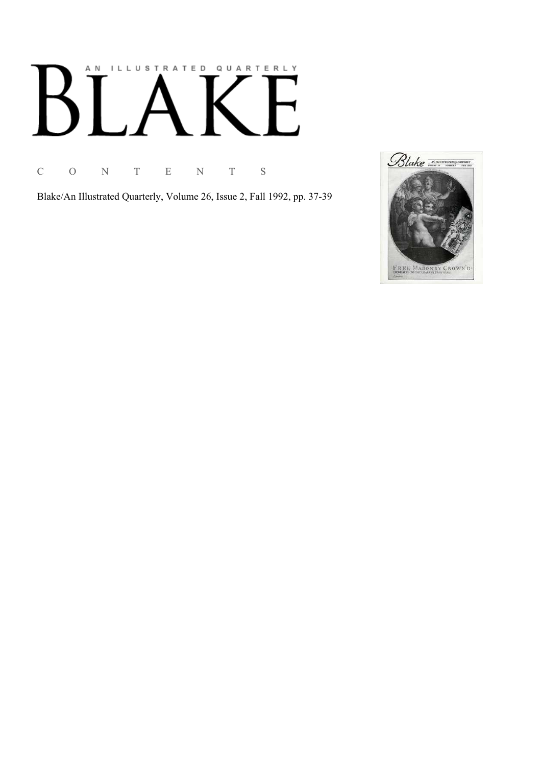# AN ILLUSTRATED QUARTERLY  $\mathbb{R}^n$ Ӄ

C O N T E N T S

Blake/An Illustrated Quarterly, Volume 26, Issue 2, Fall 1992, pp. 37-39

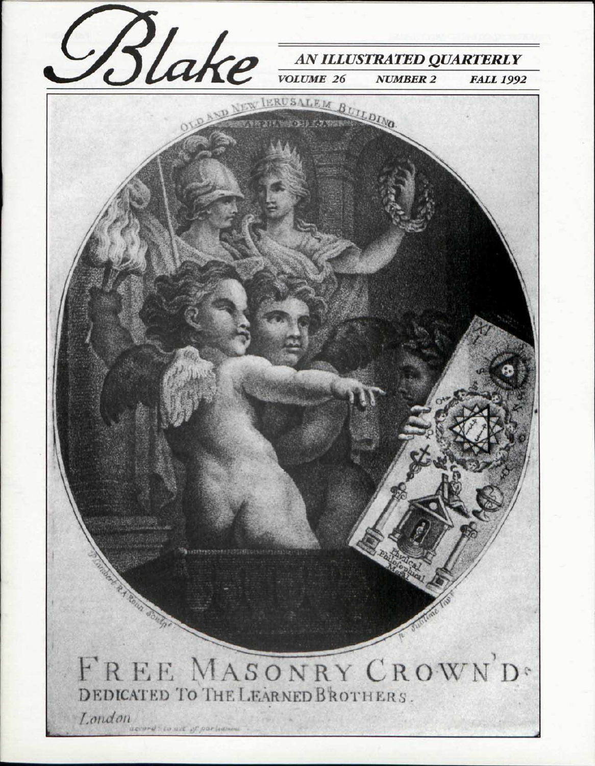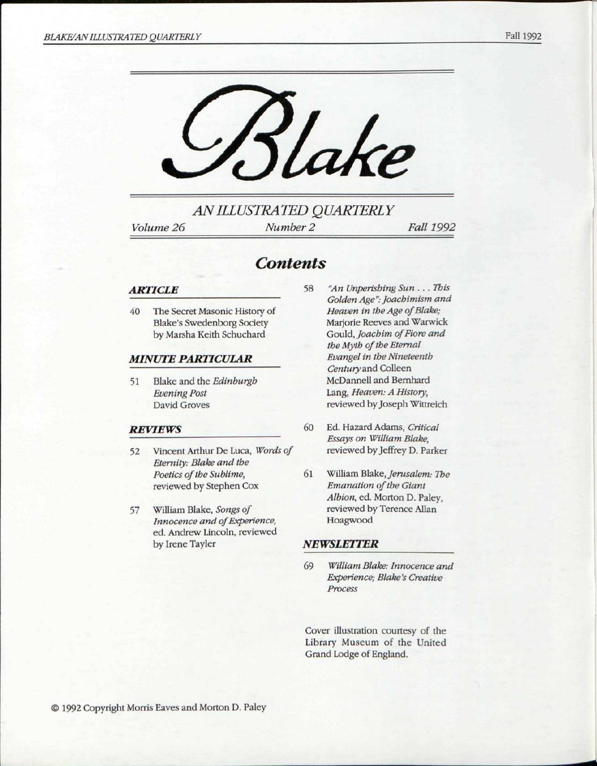

*AN ILLUSTRATED QUARTERLY* 

*Volume 26 Number 2 Fall 1992* 

### *Contents*

#### *ARTICLE*

40 The Secret Masonic History of Blake's Swedenborg Society by Marsha Keith Schuchard

#### *MINUTE PARTICULAR*

51 Blake and the *Edinburgh Evening Post*  David Groves

#### *REVIEWS*

- 52 Vincent Arthur De Luca, *Words of Eternity: Blake and the Poetics of the Sublime,*  reviewed by Stephen Cox
- 57 William Blake, *Songs of Innocence and of Experience,*  ed. Andrew Lincoln, reviewed by Irene Tayler
- 58 *"An Unperishing Sun . . . This Golden Age": foachimism and Heaven in the Age of Blake;*  Marjorie Reeves and Warwick Gould, *Joachim of Fiore and the Myth of the Eternal Evangel in the Nineteenth Century* and Colleen McDannell and Bernhard Lang, *Heaven: A History,*  reviewed by Joseph Wittreich
- 60 Ed. Hazard Adams, *Critical Essays on William Blake,*  reviewed by Jeffrey D. Parker
- 61 William Blake, *Jerusalem: The Emanation of the Giant Albion,* ed. Morton D. Paley, reviewed by Terence Allan Hoagwood

#### *NEWSLETTER*

69 *William Blake: Innocence and Experience; Blake's Creative Process* 

Cover illustration courtesy of the Library Museum of the United Grand Lodge of England.